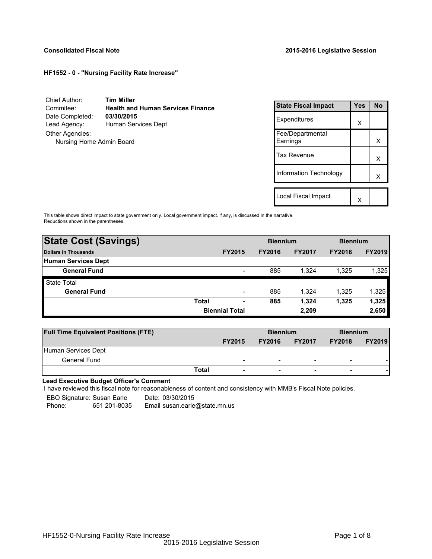## **HF1552 - 0 - "Nursing Facility Rate Increase"**

Chief Author: **Tim Miller** Commitee: **Health and Human Services Finance** Date Completed: Lead Agency: Human Services Dept Other Agencies: Nursing Home Admin Board

| <b>State Fiscal Impact</b>    | Yes | No |
|-------------------------------|-----|----|
| Expenditures                  | x   |    |
| Fee/Departmental<br>Earnings  |     | x  |
| Tax Revenue                   |     | x  |
| <b>Information Technology</b> |     | x  |
| Local Fiscal Impact           |     |    |

This table shows direct impact to state government only. Local government impact. if any, is discussed in the narrative. Reductions shown in the parentheses.

| <b>State Cost (Savings)</b> |                       |                          | <b>Biennium</b> |               | <b>Biennium</b> |               |  |
|-----------------------------|-----------------------|--------------------------|-----------------|---------------|-----------------|---------------|--|
| Dollars in Thousands        |                       | <b>FY2015</b>            | <b>FY2016</b>   | <b>FY2017</b> | <b>FY2018</b>   | <b>FY2019</b> |  |
| <b>Human Services Dept</b>  |                       |                          |                 |               |                 |               |  |
| <b>General Fund</b>         |                       | $\overline{\phantom{a}}$ | 885             | 1.324         | 1.325           | 1,325         |  |
| <b>State Total</b>          |                       |                          |                 |               |                 |               |  |
| <b>General Fund</b>         |                       | $\overline{\phantom{0}}$ | 885             | 1.324         | 1.325           | 1,325         |  |
|                             | <b>Total</b>          | ٠                        | 885             | 1,324         | 1,325           | 1,325         |  |
|                             | <b>Biennial Total</b> |                          | 2,209           | 2,650         |                 |               |  |

| <b>Full Time Equivalent Positions (FTE)</b> |                          | <b>Biennium</b> |                          | <b>Biennium</b>          |               |
|---------------------------------------------|--------------------------|-----------------|--------------------------|--------------------------|---------------|
|                                             | <b>FY2015</b>            | <b>FY2016</b>   | <b>FY2017</b>            | <b>FY2018</b>            | <b>FY2019</b> |
| Human Services Dept                         |                          |                 |                          |                          |               |
| General Fund                                | $\overline{\phantom{0}}$ | -               | $\overline{\phantom{a}}$ | $\overline{\phantom{0}}$ |               |
| Total                                       | $\overline{\phantom{a}}$ | ۰               | $\overline{\phantom{0}}$ |                          |               |

**Lead Executive Budget Officer's Comment**

-

I have reviewed this fiscal note for reasonableness of content and consistency with MMB's Fiscal Note policies.

EBO Signature: Susan Earle Date: 03/30/2015 Phone: 651 201-8035 Email susan.earle@state.mn.us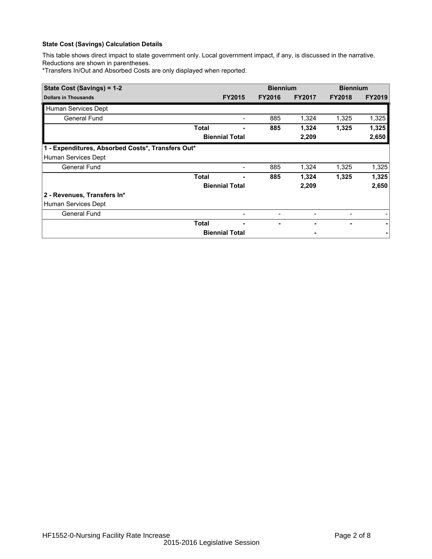# **State Cost (Savings) Calculation Details**

This table shows direct impact to state government only. Local government impact, if any, is discussed in the narrative. Reductions are shown in parentheses.

\*Transfers In/Out and Absorbed Costs are only displayed when reported.

| State Cost (Savings) = 1-2                        |              |                          | <b>Biennium</b> |               | <b>Biennium</b> |               |  |  |
|---------------------------------------------------|--------------|--------------------------|-----------------|---------------|-----------------|---------------|--|--|
| <b>Dollars in Thousands</b>                       |              | <b>FY2015</b>            | <b>FY2016</b>   | <b>FY2017</b> | <b>FY2018</b>   | <b>FY2019</b> |  |  |
| Human Services Dept                               |              |                          |                 |               |                 |               |  |  |
| General Fund                                      |              |                          | 885             | 1,324         | 1,325           | 1,325         |  |  |
|                                                   | Total        |                          | 885             | 1,324         | 1,325           | 1,325         |  |  |
|                                                   |              | <b>Biennial Total</b>    |                 | 2,209         |                 | 2,650         |  |  |
| 1 - Expenditures, Absorbed Costs*, Transfers Out* |              |                          |                 |               |                 |               |  |  |
| Human Services Dept                               |              |                          |                 |               |                 |               |  |  |
| <b>General Fund</b>                               |              | $\overline{\phantom{a}}$ | 885             | 1,324         | 1,325           | 1,325         |  |  |
|                                                   | <b>Total</b> |                          | 885             | 1,324         | 1,325           | 1,325         |  |  |
|                                                   |              | <b>Biennial Total</b>    |                 | 2,209         |                 | 2,650         |  |  |
| 2 - Revenues, Transfers In*                       |              |                          |                 |               |                 |               |  |  |
| Human Services Dept                               |              |                          |                 |               |                 |               |  |  |
| <b>General Fund</b>                               |              |                          |                 |               |                 |               |  |  |
|                                                   | Total        |                          |                 |               | ٠               |               |  |  |
|                                                   |              | <b>Biennial Total</b>    |                 |               |                 |               |  |  |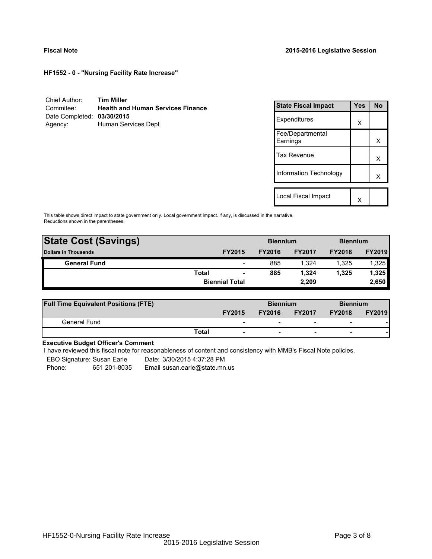**HF1552 - 0 - "Nursing Facility Rate Increase"**

| Chief Author:              | <b>Tim Miller</b>                        |
|----------------------------|------------------------------------------|
| Commitee:                  | <b>Health and Human Services Finance</b> |
| Date Completed: 03/30/2015 |                                          |
| Agency:                    | Human Services Dept                      |

| <b>State Fiscal Impact</b>   | Yes | <b>No</b> |
|------------------------------|-----|-----------|
| Expenditures                 | X   |           |
| Fee/Departmental<br>Earnings |     | x         |
| Tax Revenue                  |     | x         |
| Information Technology       |     | x         |
|                              |     |           |
| Local Fiscal Impact          |     |           |

This table shows direct impact to state government only. Local government impact. if any, is discussed in the narrative. Reductions shown in the parentheses.

| <b>State Cost (Savings)</b> |              |                          | <b>Biennium</b> |               | <b>Biennium</b> |               |  |  |
|-----------------------------|--------------|--------------------------|-----------------|---------------|-----------------|---------------|--|--|
| <b>Dollars in Thousands</b> |              | <b>FY2015</b>            | <b>FY2016</b>   | <b>FY2017</b> | <b>FY2018</b>   | <b>FY2019</b> |  |  |
| <b>General Fund</b>         |              | $\overline{\phantom{a}}$ | 885             | 1.324         | 1.325           | 1,325         |  |  |
|                             | <b>Total</b> | $\blacksquare$           | 885             | 1.324         | 1.325           | 1,325         |  |  |
|                             |              | <b>Biennial Total</b>    |                 | 2,209         |                 | 2,650         |  |  |
|                             |              |                          |                 |               |                 |               |  |  |

| <b>Full Time Equivalent Positions (FTE)</b> |              |                          | <b>Biennium</b> |                          | <b>Biennium</b>          |               |
|---------------------------------------------|--------------|--------------------------|-----------------|--------------------------|--------------------------|---------------|
|                                             |              | <b>FY2015</b>            | <b>FY2016</b>   | <b>FY2017</b>            | <b>FY2018</b>            | <b>FY2019</b> |
| General Fund                                |              | $\overline{\phantom{0}}$ |                 |                          | $\overline{\phantom{0}}$ |               |
|                                             | <b>Total</b> | ۰                        | -               | $\overline{\phantom{0}}$ | -                        |               |

# **Executive Budget Officer's Comment**

I have reviewed this fiscal note for reasonableness of content and consistency with MMB's Fiscal Note policies.

EBO Signature: Susan Earle Date: 3/30/2015 4:37:28 PM

Phone: 651 201-8035 Email susan.earle@state.mn.us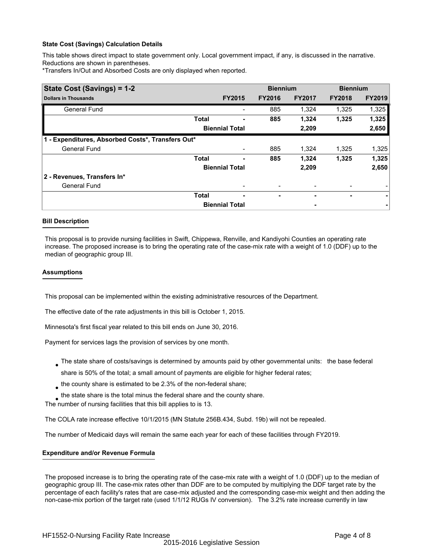## **State Cost (Savings) Calculation Details**

This table shows direct impact to state government only. Local government impact, if any, is discussed in the narrative. Reductions are shown in parentheses.

\*Transfers In/Out and Absorbed Costs are only displayed when reported.

| State Cost (Savings) = 1-2                        |              |                       | <b>Biennium</b> |               | <b>Biennium</b> |               |  |
|---------------------------------------------------|--------------|-----------------------|-----------------|---------------|-----------------|---------------|--|
| <b>Dollars in Thousands</b>                       |              | <b>FY2015</b>         | <b>FY2016</b>   | <b>FY2017</b> | <b>FY2018</b>   | <b>FY2019</b> |  |
| <b>General Fund</b>                               |              |                       | 885             | 1,324         | 1,325           | 1,325         |  |
|                                                   | <b>Total</b> |                       | 885             | 1,324         | 1,325           | 1,325         |  |
|                                                   |              | <b>Biennial Total</b> |                 | 2,209         |                 | 2,650         |  |
| 1 - Expenditures, Absorbed Costs*, Transfers Out* |              |                       |                 |               |                 |               |  |
| <b>General Fund</b>                               |              |                       | 885             | 1.324         | 1,325           | 1,325         |  |
|                                                   | <b>Total</b> | ٠                     | 885             | 1,324         | 1,325           | 1,325         |  |
|                                                   |              | <b>Biennial Total</b> |                 | 2,209         |                 | 2,650         |  |
| 2 - Revenues, Transfers In*                       |              |                       |                 |               |                 |               |  |
| <b>General Fund</b>                               |              |                       |                 |               |                 |               |  |
|                                                   | <b>Total</b> | ٠                     | ۰               |               | ۰               | ۰             |  |
|                                                   |              | <b>Biennial Total</b> |                 | ٠             |                 |               |  |

## **Bill Description**

This proposal is to provide nursing facilities in Swift, Chippewa, Renville, and Kandiyohi Counties an operating rate increase. The proposed increase is to bring the operating rate of the case-mix rate with a weight of 1.0 (DDF) up to the median of geographic group III.

#### **Assumptions**

This proposal can be implemented within the existing administrative resources of the Department.

The effective date of the rate adjustments in this bill is October 1, 2015.

Minnesota's first fiscal year related to this bill ends on June 30, 2016.

Payment for services lags the provision of services by one month.

- The state share of costs/savings is determined by amounts paid by other governmental units: the base federal share is 50% of the total; a small amount of payments are eligible for higher federal rates;
- $_{\bullet}$  the county share is estimated to be 2.3% of the non-federal share;

 $_{\bullet}$  the state share is the total minus the federal share and the county share.

The number of nursing facilities that this bill applies to is 13.

The COLA rate increase effective 10/1/2015 (MN Statute 256B.434, Subd. 19b) will not be repealed.

The number of Medicaid days will remain the same each year for each of these facilities through FY2019.

## **Expenditure and/or Revenue Formula**

The proposed increase is to bring the operating rate of the case-mix rate with a weight of 1.0 (DDF) up to the median of geographic group III. The case-mix rates other than DDF are to be computed by multiplying the DDF target rate by the percentage of each facility's rates that are case-mix adjusted and the corresponding case-mix weight and then adding the non-case-mix portion of the target rate (used 1/1/12 RUGs IV conversion). The 3.2% rate increase currently in law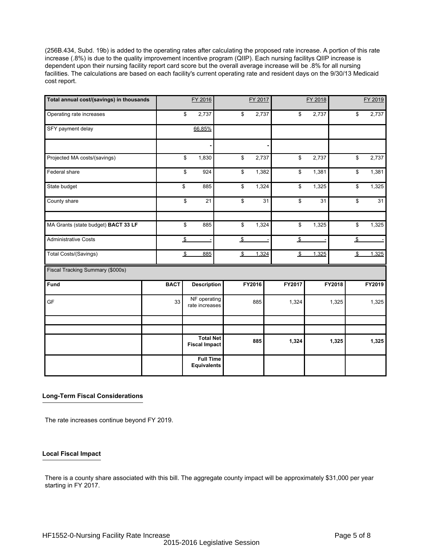(256B.434, Subd. 19b) is added to the operating rates after calculating the proposed rate increase. A portion of this rate increase (.8%) is due to the quality improvement incentive program (QIIP). Each nursing facilitys QIIP increase is dependent upon their nursing facility report card score but the overall average increase will be .8% for all nursing facilities. The calculations are based on each facility's current operating rate and resident days on the 9/30/13 Medicaid cost report.

| Total annual cost/(savings) in thousands |             |                | FY 2016                                |                | FY 2017 |    |                | FY 2018 |        |                         | FY 2019        |
|------------------------------------------|-------------|----------------|----------------------------------------|----------------|---------|----|----------------|---------|--------|-------------------------|----------------|
| Operating rate increases                 |             | \$             | 2,737                                  | \$             | 2,737   |    | \$             | 2,737   |        | \$                      | 2,737          |
| SFY payment delay                        |             |                | 66.85%                                 |                |         |    |                |         |        |                         |                |
|                                          |             |                |                                        |                |         |    |                |         |        |                         |                |
| Projected MA costs/(savings)             |             | \$             | 1,830                                  | \$             | 2,737   |    | \$             | 2,737   |        | \$                      | 2,737          |
| Federal share                            |             | \$             | 924                                    | \$             | 1,382   |    | \$             | 1,381   |        | \$                      | 1,381          |
| State budget                             |             | \$             | 885                                    | \$             | 1,324   |    | \$             | 1,325   |        | \$                      | 1,325          |
| County share                             |             | \$             | 21                                     | \$             |         | 31 | \$             | 31      |        | \$                      | 31             |
| MA Grants (state budget) BACT 33 LF      |             | \$             | 885                                    | \$             | 1,324   |    | \$             | 1,325   |        | \$                      | 1,325          |
| <b>Administrative Costs</b>              |             | $\frac{1}{2}$  |                                        | $\sqrt{2}$     |         |    | $\sqrt{2}$     |         |        | $\frac{3}{2}$           | $\blacksquare$ |
| Total Costs/(Savings)                    |             | $\mathfrak{L}$ | 885                                    | $\mathfrak{L}$ | 1,324   |    | $\mathfrak{L}$ | 1,325   |        | $\sqrt[6]{\frac{2}{5}}$ | 1,325          |
| Fiscal Tracking Summary (\$000s)         |             |                |                                        |                |         |    |                |         |        |                         |                |
| Fund                                     | <b>BACT</b> |                | <b>Description</b>                     |                | FY2016  |    | FY2017         |         | FY2018 |                         | FY2019         |
| GF                                       | 33          |                | NF operating<br>rate increases         |                | 885     |    | 1,324          |         | 1,325  |                         | 1,325          |
|                                          |             |                |                                        |                |         |    |                |         |        |                         |                |
|                                          |             |                | <b>Total Net</b>                       |                |         |    |                |         |        |                         |                |
|                                          |             |                | <b>Fiscal Impact</b>                   |                | 885     |    | 1,324          |         | 1,325  |                         | 1,325          |
|                                          |             |                | <b>Full Time</b><br><b>Equivalents</b> |                |         |    |                |         |        |                         |                |

## **Long-Term Fiscal Considerations**

The rate increases continue beyond FY 2019.

## **Local Fiscal Impact**

There is a county share associated with this bill. The aggregate county impact will be approximately \$31,000 per year starting in FY 2017.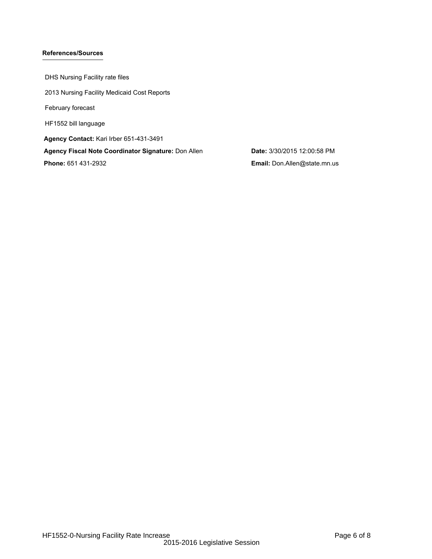## **References/Sources**

DHS Nursing Facility rate files 2013 Nursing Facility Medicaid Cost Reports February forecast HF1552 bill language **Agency Contact:** Kari Irber 651-431-3491 **Agency Fiscal Note Coordinator Signature:** Don Allen **Date:** 3/30/2015 12:00:58 PM **Phone:** 651 431-2932 **Email:** Don.Allen@state.mn.us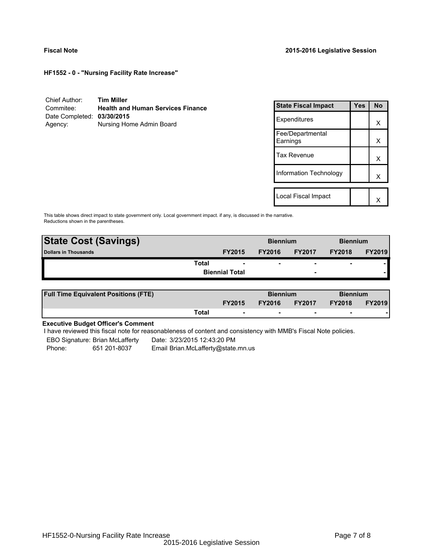**HF1552 - 0 - "Nursing Facility Rate Increase"**

| Chief Author:              | <b>Tim Miller</b>                        |
|----------------------------|------------------------------------------|
| Commitee:                  | <b>Health and Human Services Finance</b> |
| Date Completed: 03/30/2015 |                                          |
| Agency:                    | Nursing Home Admin Board                 |

| <b>State Fiscal Impact</b>   | Yes | <b>No</b> |
|------------------------------|-----|-----------|
| Expenditures                 |     | x         |
| Fee/Departmental<br>Earnings |     | x         |
| Tax Revenue                  |     | x         |
| Information Technology       |     | x         |
|                              |     |           |
| Local Fiscal Impact          |     |           |

This table shows direct impact to state government only. Local government impact. if any, is discussed in the narrative. Reductions shown in the parentheses.

| <b>State Cost (Savings)</b> |                       | <b>Biennium</b> |                          | <b>Biennium</b>          |               |
|-----------------------------|-----------------------|-----------------|--------------------------|--------------------------|---------------|
| <b>Dollars in Thousands</b> | <b>FY2015</b>         | <b>FY2016</b>   | <b>FY2017</b>            | <b>FY2018</b>            | <b>FY2019</b> |
| Total                       | ۰                     | ۰               | $\overline{\phantom{0}}$ | $\overline{\phantom{0}}$ |               |
|                             | <b>Biennial Total</b> |                 | $\overline{\phantom{a}}$ |                          |               |
|                             |                       |                 |                          |                          |               |

| <b>Full Time Equivalent Positions (FTE)</b> |       |                          | <b>Biennium</b> |                          | <b>Biennium</b> |               |
|---------------------------------------------|-------|--------------------------|-----------------|--------------------------|-----------------|---------------|
|                                             |       | <b>FY2015</b>            | <b>FY2016</b>   | <b>FY2017</b>            | <b>FY2018</b>   | <b>FY2019</b> |
|                                             | Total | $\overline{\phantom{a}}$ | $\sim$          | $\overline{\phantom{a}}$ | $\sim$          |               |

# **Executive Budget Officer's Comment**

I have reviewed this fiscal note for reasonableness of content and consistency with MMB's Fiscal Note policies.

EBO Signature: Brian McLafferty Date: 3/23/2015 12:43:20 PM

Phone: 651 201-8037 Email Brian.McLafferty@state.mn.us